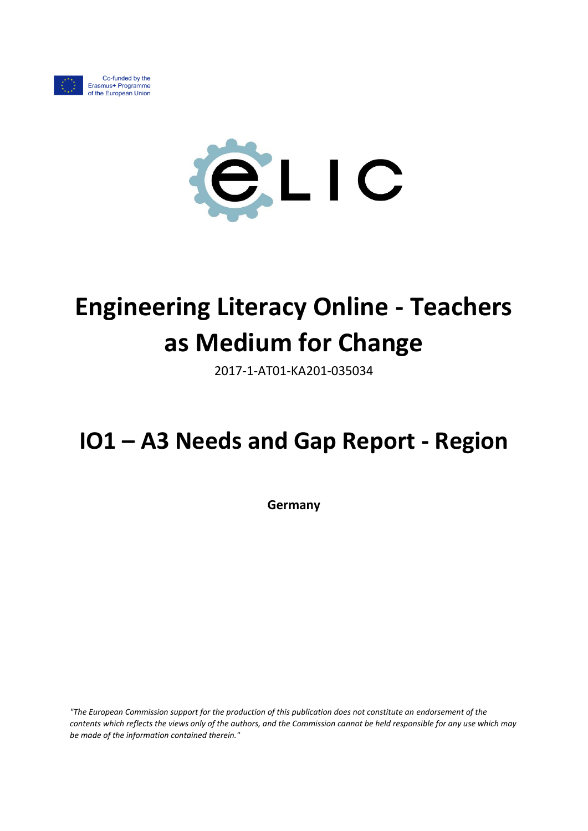



# **Engineering Literacy Online - Teachers as Medium for Change**

2017-1-AT01-KA201-035034

## **IO1 – A3 Needs and Gap Report - Region**

**Germany**

*"The European Commission support for the production of this publication does not constitute an endorsement of the contents which reflects the views only of the authors, and the Commission cannot be held responsible for any use which may be made of the information contained therein."*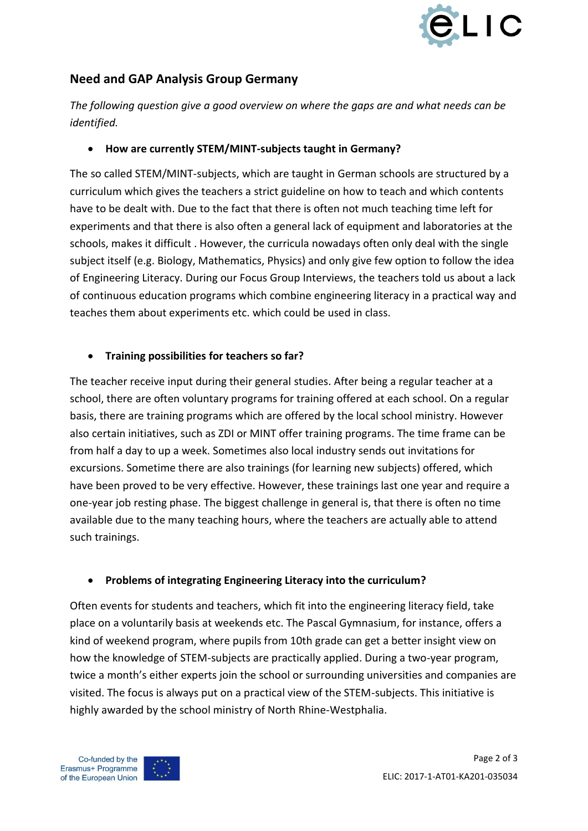

### **Need and GAP Analysis Group Germany**

*The following question give a good overview on where the gaps are and what needs can be identified.*

#### **How are currently STEM/MINT-subjects taught in Germany?**

The so called STEM/MINT-subjects, which are taught in German schools are structured by a curriculum which gives the teachers a strict guideline on how to teach and which contents have to be dealt with. Due to the fact that there is often not much teaching time left for experiments and that there is also often a general lack of equipment and laboratories at the schools, makes it difficult . However, the curricula nowadays often only deal with the single subject itself (e.g. Biology, Mathematics, Physics) and only give few option to follow the idea of Engineering Literacy. During our Focus Group Interviews, the teachers told us about a lack of continuous education programs which combine engineering literacy in a practical way and teaches them about experiments etc. which could be used in class.

#### **Training possibilities for teachers so far?**

The teacher receive input during their general studies. After being a regular teacher at a school, there are often voluntary programs for training offered at each school. On a regular basis, there are training programs which are offered by the local school ministry. However also certain initiatives, such as ZDI or MINT offer training programs. The time frame can be from half a day to up a week. Sometimes also local industry sends out invitations for excursions. Sometime there are also trainings (for learning new subjects) offered, which have been proved to be very effective. However, these trainings last one year and require a one-year job resting phase. The biggest challenge in general is, that there is often no time available due to the many teaching hours, where the teachers are actually able to attend such trainings.

#### **Problems of integrating Engineering Literacy into the curriculum?**

Often events for students and teachers, which fit into the engineering literacy field, take place on a voluntarily basis at weekends etc. The Pascal Gymnasium, for instance, offers a kind of weekend program, where pupils from 10th grade can get a better insight view on how the knowledge of STEM-subjects are practically applied. During a two-year program, twice a month's either experts join the school or surrounding universities and companies are visited. The focus is always put on a practical view of the STEM-subjects. This initiative is highly awarded by the school ministry of North Rhine-Westphalia.